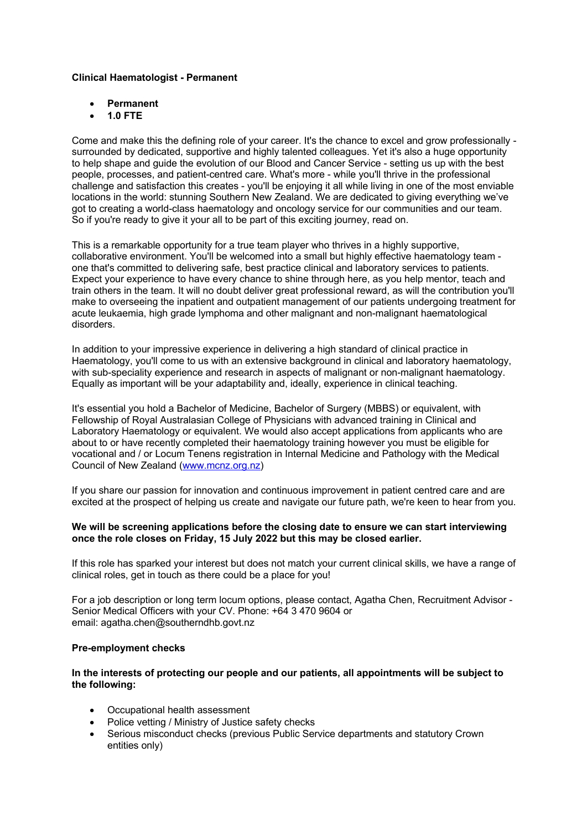# **Clinical Haematologist - Permanent**

- **Permanent**
- **1.0 FTE**

Come and make this the defining role of your career. It's the chance to excel and grow professionally surrounded by dedicated, supportive and highly talented colleagues. Yet it's also a huge opportunity to help shape and guide the evolution of our Blood and Cancer Service - setting us up with the best people, processes, and patient-centred care. What's more - while you'll thrive in the professional challenge and satisfaction this creates - you'll be enjoying it all while living in one of the most enviable locations in the world: stunning Southern New Zealand. We are dedicated to giving everything we've got to creating a world-class haematology and oncology service for our communities and our team. So if you're ready to give it your all to be part of this exciting journey, read on.

This is a remarkable opportunity for a true team player who thrives in a highly supportive, collaborative environment. You'll be welcomed into a small but highly effective haematology team one that's committed to delivering safe, best practice clinical and laboratory services to patients. Expect your experience to have every chance to shine through here, as you help mentor, teach and train others in the team. It will no doubt deliver great professional reward, as will the contribution you'll make to overseeing the inpatient and outpatient management of our patients undergoing treatment for acute leukaemia, high grade lymphoma and other malignant and non-malignant haematological disorders.

In addition to your impressive experience in delivering a high standard of clinical practice in Haematology, you'll come to us with an extensive background in clinical and laboratory haematology, with sub-speciality experience and research in aspects of malignant or non-malignant haematology. Equally as important will be your adaptability and, ideally, experience in clinical teaching.

It's essential you hold a Bachelor of Medicine, Bachelor of Surgery (MBBS) or equivalent, with Fellowship of Royal Australasian College of Physicians with advanced training in Clinical and Laboratory Haematology or equivalent. We would also accept applications from applicants who are about to or have recently completed their haematology training however you must be eligible for vocational and / or Locum Tenens registration in Internal Medicine and Pathology with the Medical Council of New Zealand (www.mcnz.org.nz)

If you share our passion for innovation and continuous improvement in patient centred care and are excited at the prospect of helping us create and navigate our future path, we're keen to hear from you.

### **We will be screening applications before the closing date to ensure we can start interviewing once the role closes on Friday, 15 July 2022 but this may be closed earlier.**

If this role has sparked your interest but does not match your current clinical skills, we have a range of clinical roles, get in touch as there could be a place for you!

For a job description or long term locum options, please contact, Agatha Chen, Recruitment Advisor - Senior Medical Officers with your CV. Phone: +64 3 470 9604 or email: agatha.chen@southerndhb.govt.nz

# **Pre-employment checks**

### **In the interests of protecting our people and our patients, all appointments will be subject to the following:**

- Occupational health assessment
- Police vetting / Ministry of Justice safety checks
- Serious misconduct checks (previous Public Service departments and statutory Crown entities only)